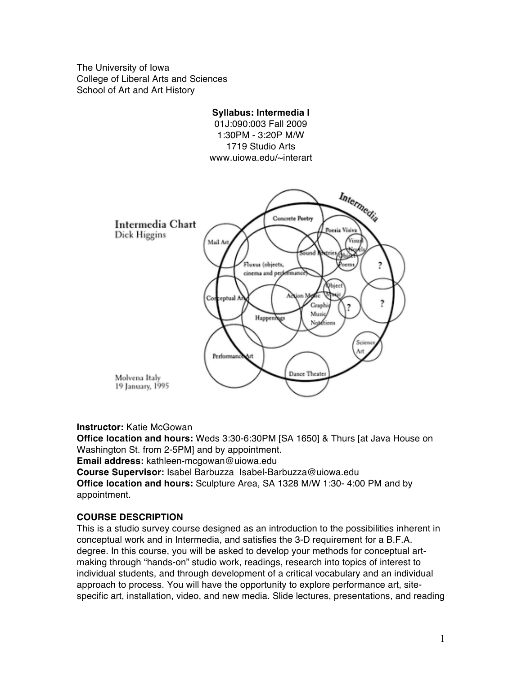The University of Iowa College of Liberal Arts and Sciences School of Art and Art History



# **Instructor:** Katie McGowan

**Office location and hours:** Weds 3:30-6:30PM [SA 1650] & Thurs [at Java House on Washington St. from 2-5PM] and by appointment. **Email address:** kathleen-mcgowan@uiowa.edu

**Course Supervisor:** Isabel Barbuzza Isabel-Barbuzza@uiowa.edu

**Office location and hours:** Sculpture Area, SA 1328 M/W 1:30- 4:00 PM and by appointment.

# **COURSE DESCRIPTION**

This is a studio survey course designed as an introduction to the possibilities inherent in conceptual work and in Intermedia, and satisfies the 3-D requirement for a B.F.A. degree. In this course, you will be asked to develop your methods for conceptual artmaking through "hands-on" studio work, readings, research into topics of interest to individual students, and through development of a critical vocabulary and an individual approach to process. You will have the opportunity to explore performance art, sitespecific art, installation, video, and new media. Slide lectures, presentations, and reading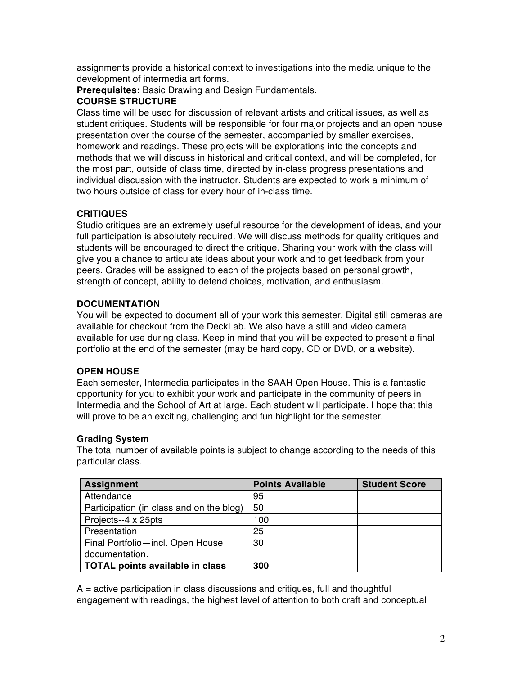assignments provide a historical context to investigations into the media unique to the development of intermedia art forms.

**Prerequisites:** Basic Drawing and Design Fundamentals.

# **COURSE STRUCTURE**

Class time will be used for discussion of relevant artists and critical issues, as well as student critiques. Students will be responsible for four major projects and an open house presentation over the course of the semester, accompanied by smaller exercises, homework and readings. These projects will be explorations into the concepts and methods that we will discuss in historical and critical context, and will be completed, for the most part, outside of class time, directed by in-class progress presentations and individual discussion with the instructor. Students are expected to work a minimum of two hours outside of class for every hour of in-class time.

# **CRITIQUES**

Studio critiques are an extremely useful resource for the development of ideas, and your full participation is absolutely required. We will discuss methods for quality critiques and students will be encouraged to direct the critique. Sharing your work with the class will give you a chance to articulate ideas about your work and to get feedback from your peers. Grades will be assigned to each of the projects based on personal growth, strength of concept, ability to defend choices, motivation, and enthusiasm.

# **DOCUMENTATION**

You will be expected to document all of your work this semester. Digital still cameras are available for checkout from the DeckLab. We also have a still and video camera available for use during class. Keep in mind that you will be expected to present a final portfolio at the end of the semester (may be hard copy, CD or DVD, or a website).

# **OPEN HOUSE**

Each semester, Intermedia participates in the SAAH Open House. This is a fantastic opportunity for you to exhibit your work and participate in the community of peers in Intermedia and the School of Art at large. Each student will participate. I hope that this will prove to be an exciting, challenging and fun highlight for the semester.

# **Grading System**

The total number of available points is subject to change according to the needs of this particular class.

| <b>Assignment</b>                        | <b>Points Available</b> | <b>Student Score</b> |
|------------------------------------------|-------------------------|----------------------|
| Attendance                               | 95                      |                      |
| Participation (in class and on the blog) | 50                      |                      |
| Projects--4 x 25pts                      | 100                     |                      |
| Presentation                             | 25                      |                      |
| Final Portfolio-incl. Open House         | 30                      |                      |
| documentation.                           |                         |                      |
| <b>TOTAL points available in class</b>   | 300                     |                      |

 $A =$  active participation in class discussions and critiques, full and thoughtful engagement with readings, the highest level of attention to both craft and conceptual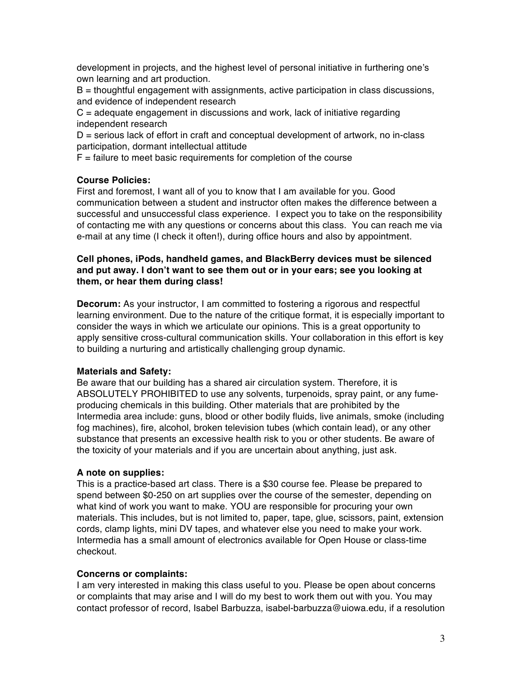development in projects, and the highest level of personal initiative in furthering one's own learning and art production.

 $B =$  thoughtful engagement with assignments, active participation in class discussions, and evidence of independent research

 $C =$  adequate engagement in discussions and work, lack of initiative regarding independent research

D = serious lack of effort in craft and conceptual development of artwork, no in-class participation, dormant intellectual attitude

 $F =$  failure to meet basic requirements for completion of the course

# **Course Policies:**

First and foremost, I want all of you to know that I am available for you. Good communication between a student and instructor often makes the difference between a successful and unsuccessful class experience.I expect you to take on the responsibility of contacting me with any questions or concerns about this class. You can reach me via e-mail at any time (I check it often!), during office hours and also by appointment.

# **Cell phones, iPods, handheld games, and BlackBerry devices must be silenced and put away. I don't want to see them out or in your ears; see you looking at them, or hear them during class!**

**Decorum:** As your instructor, I am committed to fostering a rigorous and respectful learning environment. Due to the nature of the critique format, it is especially important to consider the ways in which we articulate our opinions. This is a great opportunity to apply sensitive cross-cultural communication skills. Your collaboration in this effort is key to building a nurturing and artistically challenging group dynamic.

# **Materials and Safety:**

Be aware that our building has a shared air circulation system. Therefore, it is ABSOLUTELY PROHIBITED to use any solvents, turpenoids, spray paint, or any fumeproducing chemicals in this building. Other materials that are prohibited by the Intermedia area include: guns, blood or other bodily fluids, live animals, smoke (including fog machines), fire, alcohol, broken television tubes (which contain lead), or any other substance that presents an excessive health risk to you or other students. Be aware of the toxicity of your materials and if you are uncertain about anything, just ask.

# **A note on supplies:**

This is a practice-based art class. There is a \$30 course fee. Please be prepared to spend between \$0-250 on art supplies over the course of the semester, depending on what kind of work you want to make. YOU are responsible for procuring your own materials. This includes, but is not limited to, paper, tape, glue, scissors, paint, extension cords, clamp lights, mini DV tapes, and whatever else you need to make your work. Intermedia has a small amount of electronics available for Open House or class-time checkout.

# **Concerns or complaints:**

I am very interested in making this class useful to you. Please be open about concerns or complaints that may arise and I will do my best to work them out with you. You may contact professor of record, Isabel Barbuzza, isabel-barbuzza@uiowa.edu, if a resolution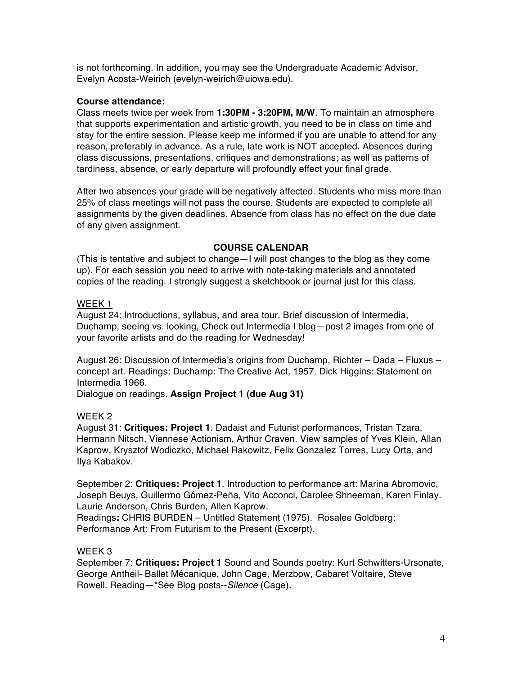is not forthcoming. In addition, you may see the Undergraduate Academic Advisor, Evelyn Acosta-Weirich (evelyn-weirich@uiowa.edu).

## **Course attendance:**

Class meets twice per week from **1:30PM - 3:20PM, M/W**. To maintain an atmosphere that supports experimentation and artistic growth, you need to be in class on time and stay for the entire session. Please keep me informed if you are unable to attend for any reason, preferably in advance. As a rule, late work is NOT accepted. Absences during class discussions, presentations, critiques and demonstrations; as well as patterns of tardiness, absence, or early departure will profoundly effect your final grade.

After two absences your grade will be negatively affected. Students who miss more than 25% of class meetings will not pass the course. Students are expected to complete all assignments by the given deadlines. Absence from class has no effect on the due date of any given assignment.

## **COURSE CALENDAR**

(This is tentative and subject to change—I will post changes to the blog as they come up). For each session you need to arrive with note-taking materials and annotated copies of the reading. I strongly suggest a sketchbook or journal just for this class.

# WEEK 1

August 24: Introductions, syllabus, and area tour. Brief discussion of Intermedia, Duchamp, seeing vs. looking, Check out Intermedia I blog—post 2 images from one of your favorite artists and do the reading for Wednesday!

August 26: Discussion of Intermedia's origins from Duchamp, Richter – Dada – Fluxus – concept art. Readings: Duchamp: The Creative Act, 1957. Dick Higgins: Statement on Intermedia 1966.

Dialogue on readings. **Assign Project 1 (due Aug 31)**

# WEEK 2

August 31: **Critiques: Project 1**. Dadaist and Futurist performances, Tristan Tzara, Hermann Nitsch, Viennese Actionism, Arthur Craven. View samples of Yves Klein, Allan Kaprow, Krysztof Wodiczko, Michael Rakowitz, Felix Gonzalez Torres, Lucy Orta, and Ilya Kabakov.

September 2: **Critiques: Project 1**. Introduction to performance art: Marina Abromovic, Joseph Beuys, Guillermo Gómez-Peña, Vito Acconci, Carolee Shneeman, Karen Finlay. Laurie Anderson, Chris Burden, Allen Kaprow.

Readings**:** CHRIS BURDEN – Untitled Statement (1975). Rosalee Goldberg: Performance Art: From Futurism to the Present (Excerpt).

# WEEK 3

September 7: **Critiques: Project 1** Sound and Sounds poetry: Kurt Schwitters-Ursonate, George Antheil- Ballet Mécanique, John Cage, Merzbow, Cabaret Voltaire, Steve Rowell. Reading—\*See Blog posts--*Silence* (Cage).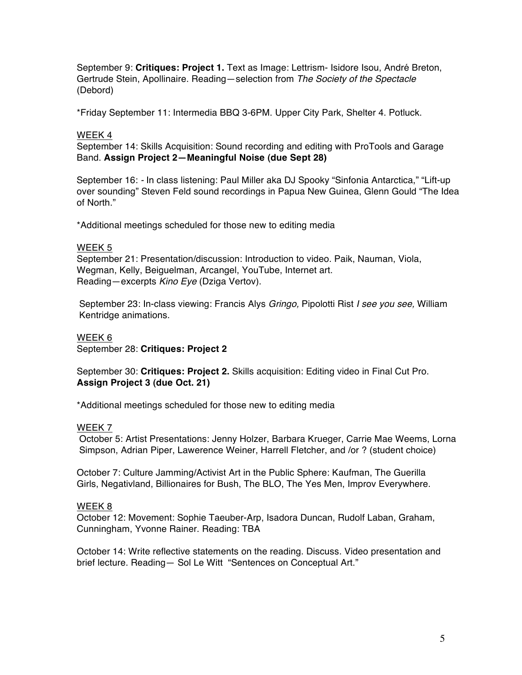September 9: **Critiques: Project 1.** Text as Image: Lettrism- Isidore Isou, André Breton, Gertrude Stein, Apollinaire. Reading—selection from *The Society of the Spectacle* (Debord)

\*Friday September 11: Intermedia BBQ 3-6PM. Upper City Park, Shelter 4. Potluck.

## WEEK 4

September 14: Skills Acquisition: Sound recording and editing with ProTools and Garage Band. **Assign Project 2—Meaningful Noise (due Sept 28)**

 September 16: *-* In class listening: Paul Miller aka DJ Spooky "Sinfonia Antarctica," "Lift-up over sounding" Steven Feld sound recordings in Papua New Guinea, Glenn Gould "The Idea of North."

\*Additional meetings scheduled for those new to editing media

#### WEEK 5

September 21: Presentation/discussion: Introduction to video. Paik, Nauman, Viola, Wegman, Kelly, Beiguelman, Arcangel, YouTube, Internet art. Reading—excerpts *Kino Eye* (Dziga Vertov).

 September 23: In-class viewing: Francis Alys *Gringo,* Pipolotti Rist *I see you see,* William Kentridge animations.

## WEEK 6

September 28: **Critiques: Project 2** 

September 30: **Critiques: Project 2.** Skills acquisition: Editing video in Final Cut Pro. **Assign Project 3 (due Oct. 21)**

\*Additional meetings scheduled for those new to editing media

#### WEEK 7

 October 5: Artist Presentations: Jenny Holzer, Barbara Krueger, Carrie Mae Weems, Lorna Simpson, Adrian Piper, Lawerence Weiner, Harrell Fletcher, and /or ? (student choice)

October 7: Culture Jamming/Activist Art in the Public Sphere: Kaufman, The Guerilla Girls, Negativland, Billionaires for Bush, The BLO, The Yes Men, Improv Everywhere.

## WEEK 8

October 12: Movement: Sophie Taeuber-Arp, Isadora Duncan, Rudolf Laban, Graham, Cunningham, Yvonne Rainer. Reading: TBA

October 14: Write reflective statements on the reading. Discuss. Video presentation and brief lecture. Reading— Sol Le Witt "Sentences on Conceptual Art."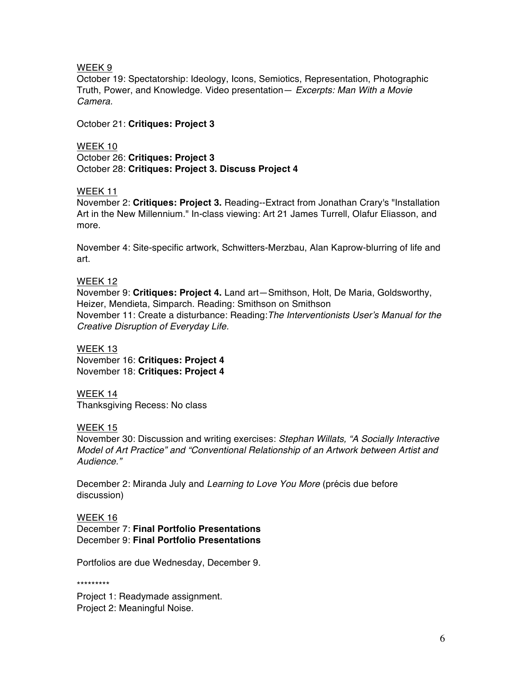WEEK 9

October 19: Spectatorship: Ideology, Icons, Semiotics, Representation, Photographic Truth, Power, and Knowledge. Video presentation— *Excerpts: Man With a Movie Camera.* 

October 21: **Critiques: Project 3**

WEEK 10 October 26: **Critiques: Project 3** October 28: **Critiques: Project 3. Discuss Project 4**

## WEEK 11

November 2: **Critiques: Project 3.** Reading--Extract from Jonathan Crary's "Installation Art in the New Millennium." In-class viewing: Art 21 James Turrell, Olafur Eliasson, and more.

November 4: Site-specific artwork, Schwitters-Merzbau, Alan Kaprow-blurring of life and art.

## WEEK 12

November 9: **Critiques: Project 4.** Land art—Smithson, Holt, De Maria, Goldsworthy, Heizer, Mendieta, Simparch. Reading: Smithson on Smithson November 11: Create a disturbance: Reading:*The Interventionists User*'*s Manual for the Creative Disruption of Everyday Life.* 

## WEEK 13

November 16: **Critiques: Project 4** November 18: **Critiques: Project 4**

## WEEK 14 Thanksgiving Recess: No class

WEEK 15

 November 30: Discussion and writing exercises: *Stephan Willats, "A Socially Interactive Model of Art Practice" and "Conventional Relationship of an Artwork between Artist and Audience."*

December 2: Miranda July and *Learning to Love You More* (précis due before discussion)

## WEEK 16

December 7: **Final Portfolio Presentations** December 9: **Final Portfolio Presentations**

Portfolios are due Wednesday, December 9.

\*\*\*\*\*\*\*\*\*

Project 1: Readymade assignment. Project 2: Meaningful Noise.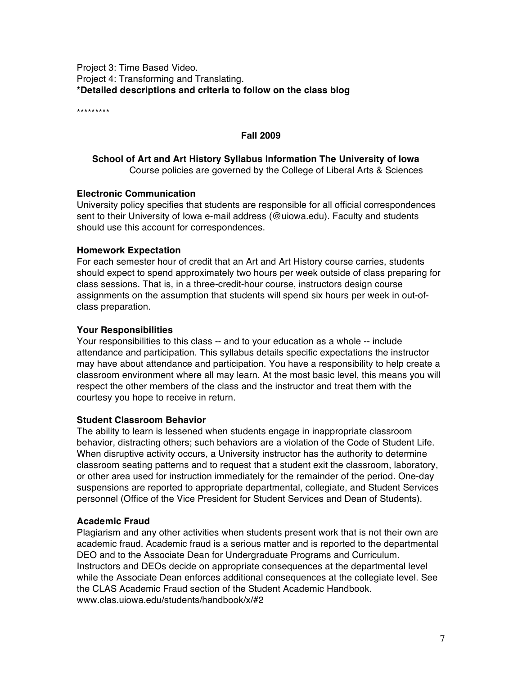Project 3: Time Based Video. Project 4: Transforming and Translating. **\*Detailed descriptions and criteria to follow on the class blog**

\*\*\*\*\*\*\*\*\*

## **Fall 2009**

## **School of Art and Art History Syllabus Information The University of Iowa** Course policies are governed by the College of Liberal Arts & Sciences

## **Electronic Communication**

University policy specifies that students are responsible for all official correspondences sent to their University of Iowa e-mail address (@uiowa.edu). Faculty and students should use this account for correspondences.

## **Homework Expectation**

For each semester hour of credit that an Art and Art History course carries, students should expect to spend approximately two hours per week outside of class preparing for class sessions. That is, in a three-credit-hour course, instructors design course assignments on the assumption that students will spend six hours per week in out-ofclass preparation.

## **Your Responsibilities**

Your responsibilities to this class -- and to your education as a whole -- include attendance and participation. This syllabus details specific expectations the instructor may have about attendance and participation. You have a responsibility to help create a classroom environment where all may learn. At the most basic level, this means you will respect the other members of the class and the instructor and treat them with the courtesy you hope to receive in return.

## **Student Classroom Behavior**

The ability to learn is lessened when students engage in inappropriate classroom behavior, distracting others; such behaviors are a violation of the Code of Student Life. When disruptive activity occurs, a University instructor has the authority to determine classroom seating patterns and to request that a student exit the classroom, laboratory, or other area used for instruction immediately for the remainder of the period. One-day suspensions are reported to appropriate departmental, collegiate, and Student Services personnel (Office of the Vice President for Student Services and Dean of Students).

## **Academic Fraud**

Plagiarism and any other activities when students present work that is not their own are academic fraud. Academic fraud is a serious matter and is reported to the departmental DEO and to the Associate Dean for Undergraduate Programs and Curriculum. Instructors and DEOs decide on appropriate consequences at the departmental level while the Associate Dean enforces additional consequences at the collegiate level. See the CLAS Academic Fraud section of the Student Academic Handbook. www.clas.uiowa.edu/students/handbook/x/#2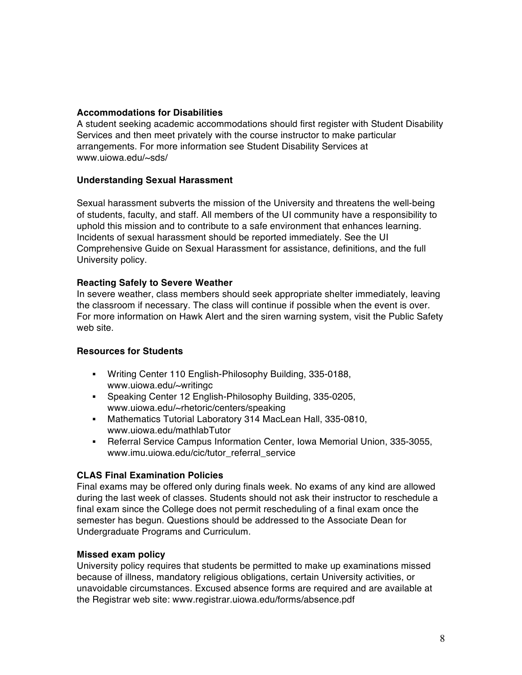## **Accommodations for Disabilities**

A student seeking academic accommodations should first register with Student Disability Services and then meet privately with the course instructor to make particular arrangements. For more information see Student Disability Services at www.uiowa.edu/~sds/

## **Understanding Sexual Harassment**

Sexual harassment subverts the mission of the University and threatens the well-being of students, faculty, and staff. All members of the UI community have a responsibility to uphold this mission and to contribute to a safe environment that enhances learning. Incidents of sexual harassment should be reported immediately. See the UI Comprehensive Guide on Sexual Harassment for assistance, definitions, and the full University policy.

## **Reacting Safely to Severe Weather**

In severe weather, class members should seek appropriate shelter immediately, leaving the classroom if necessary. The class will continue if possible when the event is over. For more information on Hawk Alert and the siren warning system, visit the Public Safety web site.

## **Resources for Students**

- Writing Center 110 English-Philosophy Building, 335-0188, www.uiowa.edu/~writingc
- Speaking Center 12 English-Philosophy Building, 335-0205, www.uiowa.edu/~rhetoric/centers/speaking
- Mathematics Tutorial Laboratory 314 MacLean Hall, 335-0810, www.uiowa.edu/mathlabTutor
- Referral Service Campus Information Center, Iowa Memorial Union, 335-3055, www.imu.uiowa.edu/cic/tutor\_referral\_service

# **CLAS Final Examination Policies**

Final exams may be offered only during finals week. No exams of any kind are allowed during the last week of classes. Students should not ask their instructor to reschedule a final exam since the College does not permit rescheduling of a final exam once the semester has begun. Questions should be addressed to the Associate Dean for Undergraduate Programs and Curriculum.

## **Missed exam policy**

University policy requires that students be permitted to make up examinations missed because of illness, mandatory religious obligations, certain University activities, or unavoidable circumstances. Excused absence forms are required and are available at the Registrar web site: www.registrar.uiowa.edu/forms/absence.pdf